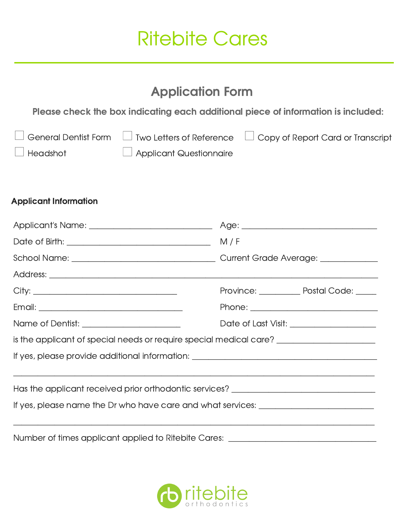## Ritebite Cares

## Application Form

Please check the box indicating each additional piece of information is included:

|                 |                                | $\Box$ General Dentist Form $\Box$ Two Letters of Reference $\Box$ Copy of Report Card or Transcript |
|-----------------|--------------------------------|------------------------------------------------------------------------------------------------------|
| $\Box$ Headshot | $\Box$ Applicant Questionnaire |                                                                                                      |

## Applicant Information

|                                                                                                      |  | Province: ____________ Postal Code: _____   |  |  |
|------------------------------------------------------------------------------------------------------|--|---------------------------------------------|--|--|
|                                                                                                      |  |                                             |  |  |
|                                                                                                      |  | Date of Last Visit: _______________________ |  |  |
| is the applicant of special needs or require special medical care? _________________________________ |  |                                             |  |  |
|                                                                                                      |  |                                             |  |  |
|                                                                                                      |  |                                             |  |  |
| Has the applicant received prior orthodontic services? __________________________                    |  |                                             |  |  |
|                                                                                                      |  |                                             |  |  |
|                                                                                                      |  |                                             |  |  |
| Number of times applicant applied to Ritebite Cares: __________                                      |  |                                             |  |  |